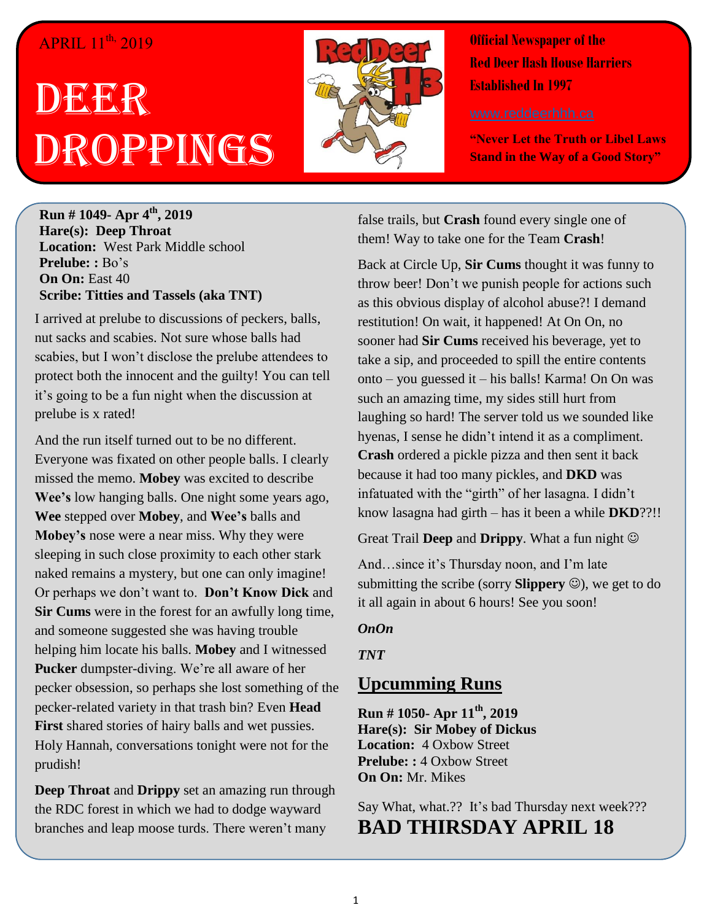## APRIL 11<sup>th,</sup> 2019

## DEER Droppings



**Official Newspaper of the Red Deer Hash House Harriers Established In 1997** 

**"Never Let the Truth or Libel Laws Stand in the Way of a Good Story"**

**Run # 1049- Apr 4 th, 2019 Hare(s): Deep Throat Location:** West Park Middle school **Prelube: :** Bo's **On On:** East 40 **Scribe: Titties and Tassels (aka TNT)**

I arrived at prelube to discussions of peckers, balls, nut sacks and scabies. Not sure whose balls had scabies, but I won't disclose the prelube attendees to protect both the innocent and the guilty! You can tell it's going to be a fun night when the discussion at prelube is x rated!

And the run itself turned out to be no different. Everyone was fixated on other people balls. I clearly missed the memo. **Mobey** was excited to describe **Wee's** low hanging balls. One night some years ago, **Wee** stepped over **Mobey**, and **Wee's** balls and **Mobey's** nose were a near miss. Why they were sleeping in such close proximity to each other stark naked remains a mystery, but one can only imagine! Or perhaps we don't want to. **Don't Know Dick** and **Sir Cums** were in the forest for an awfully long time, and someone suggested she was having trouble helping him locate his balls. **Mobey** and I witnessed **Pucker** dumpster-diving. We're all aware of her pecker obsession, so perhaps she lost something of the pecker-related variety in that trash bin? Even **Head First** shared stories of hairy balls and wet pussies. Holy Hannah, conversations tonight were not for the prudish!

**Deep Throat** and **Drippy** set an amazing run through the RDC forest in which we had to dodge wayward branches and leap moose turds. There weren't many

false trails, but **Crash** found every single one of them! Way to take one for the Team **Crash**!

Back at Circle Up, **Sir Cums** thought it was funny to throw beer! Don't we punish people for actions such as this obvious display of alcohol abuse?! I demand restitution! On wait, it happened! At On On, no sooner had **Sir Cums** received his beverage, yet to take a sip, and proceeded to spill the entire contents onto – you guessed it – his balls! Karma! On On was such an amazing time, my sides still hurt from laughing so hard! The server told us we sounded like hyenas, I sense he didn't intend it as a compliment. **Crash** ordered a pickle pizza and then sent it back because it had too many pickles, and **DKD** was infatuated with the "girth" of her lasagna. I didn't know lasagna had girth – has it been a while **DKD**??!!

Great Trail **Deep** and **Drippy**. What a fun night

And…since it's Thursday noon, and I'm late submitting the scribe (sorry **Slippery**  $\odot$ ), we get to do it all again in about 6 hours! See you soon!

## *OnOn*

*TNT*

## **Upcumming Runs**

**Run # 1050- Apr 11th, 2019 Hare(s): Sir Mobey of Dickus Location:** 4 Oxbow Street **Prelube: :** 4 Oxbow Street **On On:** Mr. Mikes

Say What, what.?? It's bad Thursday next week??? **BAD THIRSDAY APRIL 18**